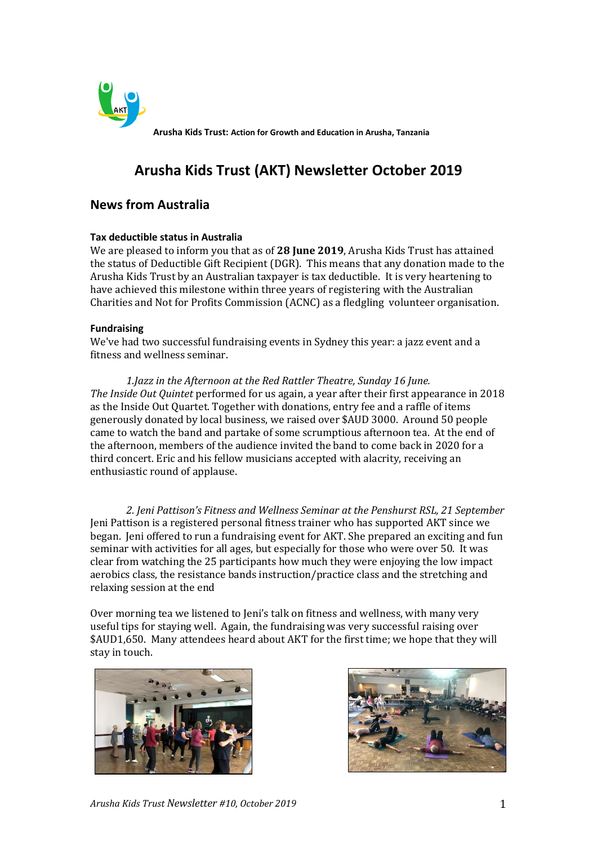

**Arusha Kids Trust: Action for Growth and Education in Arusha, Tanzania**

# **Arusha Kids Trust (AKT) Newsletter October 2019**

# **News from Australia**

#### **Tax deductible status in Australia**

We are pleased to inform you that as of **28 June 2019**, Arusha Kids Trust has attained the status of Deductible Gift Recipient (DGR). This means that any donation made to the Arusha Kids Trust by an Australian taxpayer is tax deductible. It is very heartening to have achieved this milestone within three years of registering with the Australian Charities and Not for Profits Commission (ACNC) as a fledgling volunteer organisation.

#### **Fundraising**

We've had two successful fundraising events in Sydney this year: a jazz event and a fitness and wellness seminar.

*1.Jazz in the Afternoon at the Red Rattler Theatre, Sunday 16 June. The Inside Out Quintet* performed for us again, a year after their first appearance in 2018 as the Inside Out Quartet. Together with donations, entry fee and a raffle of items generously donated by local business, we raised over \$AUD 3000. Around 50 people came to watch the band and partake of some scrumptious afternoon tea. At the end of the afternoon, members of the audience invited the band to come back in 2020 for a third concert. Eric and his fellow musicians accepted with alacrity, receiving an enthusiastic round of applause.

*2. Jeni Pattison's Fitness and Wellness Seminar at the Penshurst RSL, 21 September* Jeni Pattison is a registered personal fitness trainer who has supported AKT since we began. Jeni offered to run a fundraising event for AKT. She prepared an exciting and fun seminar with activities for all ages, but especially for those who were over 50. It was clear from watching the 25 participants how much they were enjoying the low impact aerobics class, the resistance bands instruction/practice class and the stretching and relaxing session at the end

Over morning tea we listened to Jeni's talk on fitness and wellness, with many very useful tips for staying well. Again, the fundraising was very successful raising over \$AUD1,650. Many attendees heard about AKT for the first time; we hope that they will stay in touch.



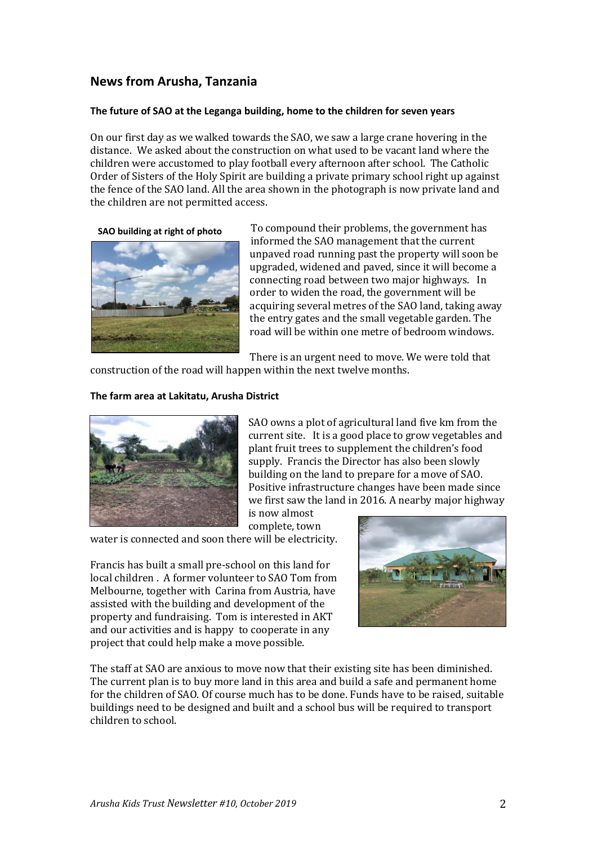# **News from Arusha, Tanzania**

#### **The future of SAO at the Leganga building, home to the children for seven years**

On our first day as we walked towards the SAO, we saw a large crane hovering in the distance. We asked about the construction on what used to be vacant land where the children were accustomed to play football every afternoon after school. The Catholic Order of Sisters of the Holy Spirit are building a private primary school right up against the fence of the SAO land. All the area shown in the photograph is now private land and the children are not permitted access.

#### **SAO building at right of photo**



To compound their problems, the government has informed the SAO management that the current unpaved road running past the property will soon be upgraded, widened and paved, since it will become a connecting road between two major highways. In order to widen the road, the government will be acquiring several metres of the SAO land, taking away the entry gates and the small vegetable garden. The road will be within one metre of bedroom windows.

There is an urgent need to move. We were told that

construction of the road will happen within the next twelve months.

#### **The farm area at Lakitatu, Arusha District**



SAO owns a plot of agricultural land five km from the current site. It is a good place to grow vegetables and plant fruit trees to supplement the children's food supply. Francis the Director has also been slowly building on the land to prepare for a move of SAO. Positive infrastructure changes have been made since we first saw the land in 2016. A nearby major highway

is now almost complete, town

water is connected and soon there will be electricity.

Francis has built a small pre-school on this land for local children . A former volunteer to SAO Tom from Melbourne, together with Carina from Austria, have assisted with the building and development of the property and fundraising. Tom is interested in AKT and our activities and is happy to cooperate in any project that could help make a move possible.



The staff at SAO are anxious to move now that their existing site has been diminished. The current plan is to buy more land in this area and build a safe and permanent home for the children of SAO. Of course much has to be done. Funds have to be raised, suitable buildings need to be designed and built and a school bus will be required to transport children to school.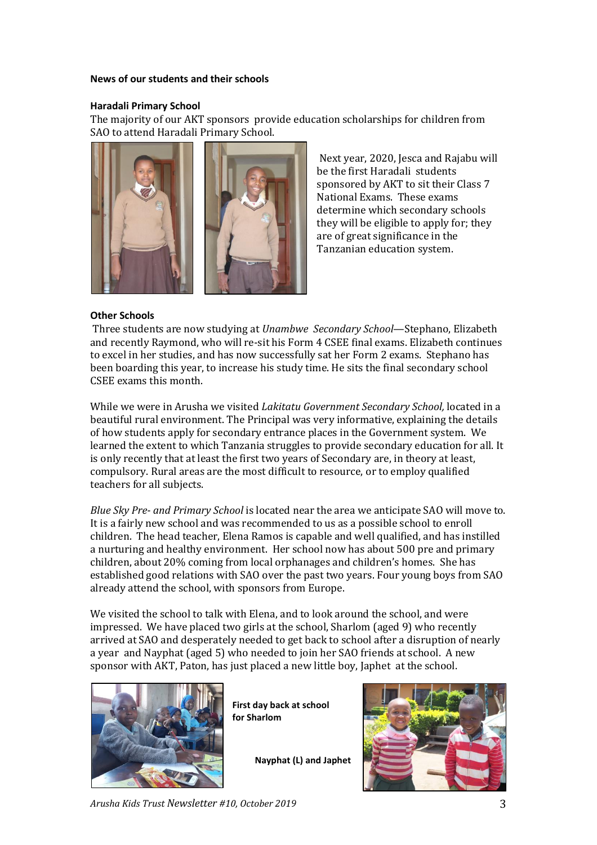#### **News of our students and their schools**

#### **Haradali Primary School**

The majority of our AKT sponsors provide education scholarships for children from SAO to attend Haradali Primary School.



Next year, 2020, Jesca and Rajabu will be the first Haradali students sponsored by AKT to sit their Class 7 National Exams. These exams determine which secondary schools they will be eligible to apply for; they are of great significance in the Tanzanian education system.

#### **Other Schools**

Three students are now studying at *Unambwe Secondary School*—Stephano, Elizabeth and recently Raymond, who will re-sit his Form 4 CSEE final exams. Elizabeth continues to excel in her studies, and has now successfully sat her Form 2 exams. Stephano has been boarding this year, to increase his study time. He sits the final secondary school CSEE exams this month.

While we were in Arusha we visited *Lakitatu Government Secondary School,* located in a beautiful rural environment. The Principal was very informative, explaining the details of how students apply for secondary entrance places in the Government system. We learned the extent to which Tanzania struggles to provide secondary education for all. It is only recently that at least the first two years of Secondary are, in theory at least, compulsory. Rural areas are the most difficult to resource, or to employ qualified teachers for all subjects.

*Blue Sky Pre- and Primary School* is located near the area we anticipate SAO will move to. It is a fairly new school and was recommended to us as a possible school to enroll children. The head teacher, Elena Ramos is capable and well qualified, and has instilled a nurturing and healthy environment. Her school now has about 500 pre and primary children, about 20% coming from local orphanages and children's homes. She has established good relations with SAO over the past two years. Four young boys from SAO already attend the school, with sponsors from Europe.

We visited the school to talk with Elena, and to look around the school, and were impressed. We have placed two girls at the school, Sharlom (aged 9) who recently arrived at SAO and desperately needed to get back to school after a disruption of nearly a year and Nayphat (aged 5) who needed to join her SAO friends at school. A new sponsor with AKT, Paton, has just placed a new little boy, Japhet at the school.



**First day back at school for Sharlom**

**Nayphat (L) and Japhet**



*Arusha Kids Trust Newsletter #10, October 2019* 3